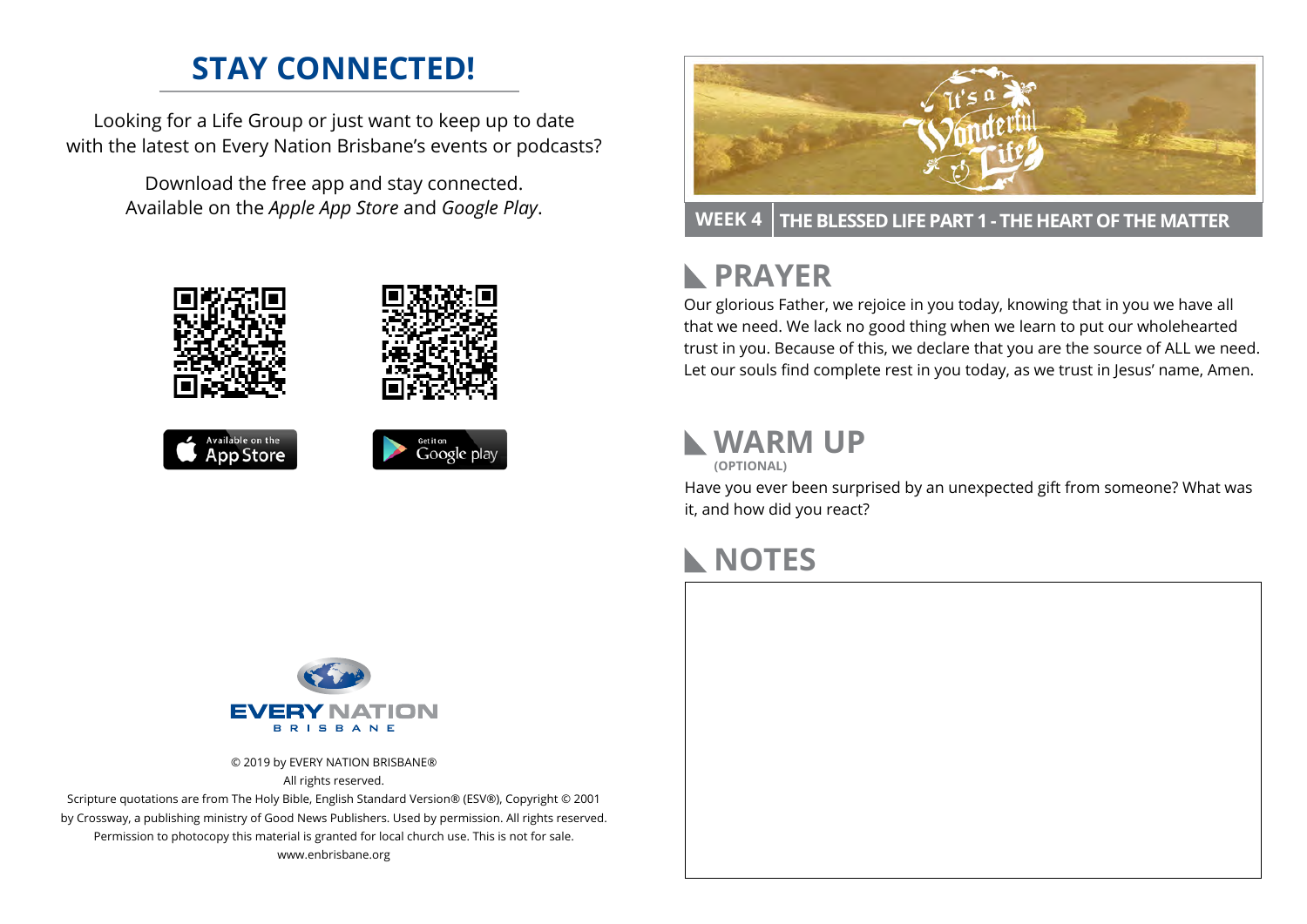## **STAY CONNECTED!**

Looking for a Life Group or just want to keep up to date with the latest on Every Nation Brisbane's events or podcasts?

> Download the free app and stay connected. Available on the *Apple App Store* and *Google Play*.





**WEEK 4 THE BLESSED LIFE PART 1 - THE HEART OF THE MATTER**

#### **PRAYER**  $\mathbf{L}$

Our glorious Father, we rejoice in you today, knowing that in you we have all that we need. We lack no good thing when we learn to put our wholehearted trust in you. Because of this, we declare that you are the source of ALL we need. Let our souls find complete rest in you today, as we trust in Jesus' name, Amen.

### **WARM UP**

**(OPTIONAL)**

Have you ever been surprised by an unexpected gift from someone? What was it, and how did you react?

#### **NOTES**



© 2019 by EVERY NATION BRISBANE® All rights reserved.

Scripture quotations are from The Holy Bible, English Standard Version® (ESV®), Copyright © 2001 by Crossway, a publishing ministry of Good News Publishers. Used by permission. All rights reserved. Permission to photocopy this material is granted for local church use. This is not for sale. www.enbrisbane.org